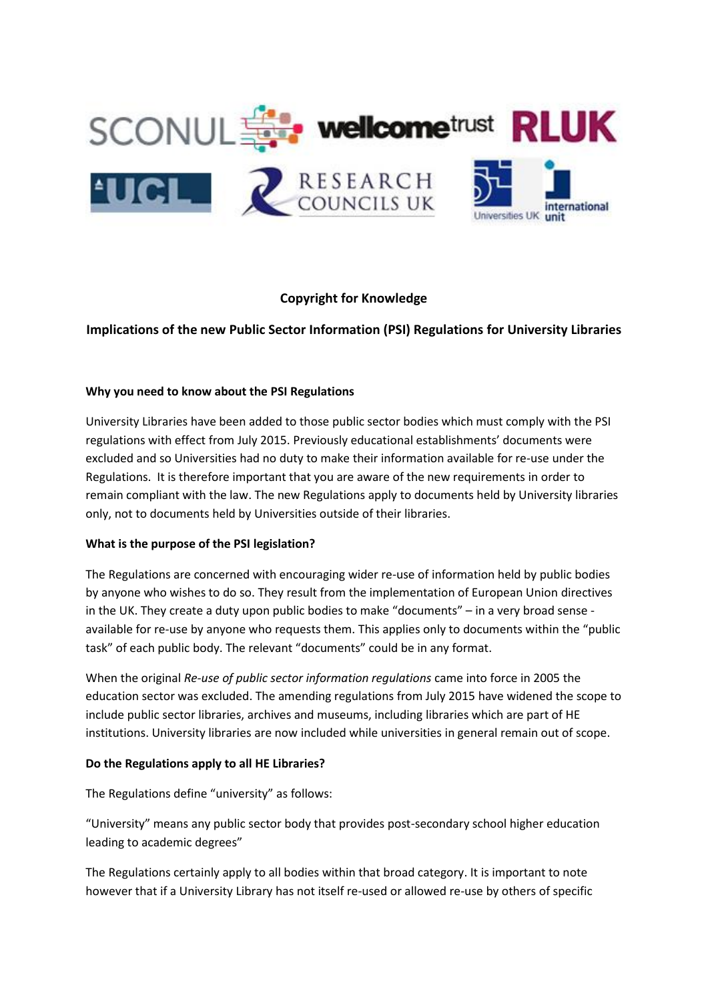

# **Copyright for Knowledge**

**Implications of the new Public Sector Information (PSI) Regulations for University Libraries**

### **Why you need to know about the PSI Regulations**

University Libraries have been added to those public sector bodies which must comply with the PSI regulations with effect from July 2015. Previously educational establishments' documents were excluded and so Universities had no duty to make their information available for re-use under the Regulations. It is therefore important that you are aware of the new requirements in order to remain compliant with the law. The new Regulations apply to documents held by University libraries only, not to documents held by Universities outside of their libraries.

### **What is the purpose of the PSI legislation?**

The Regulations are concerned with encouraging wider re-use of information held by public bodies by anyone who wishes to do so. They result from the implementation of European Union directives in the UK. They create a duty upon public bodies to make "documents" – in a very broad sense available for re-use by anyone who requests them. This applies only to documents within the "public task" of each public body. The relevant "documents" could be in any format.

When the original *Re-use of public sector information regulations* came into force in 2005 the education sector was excluded. The amending regulations from July 2015 have widened the scope to include public sector libraries, archives and museums, including libraries which are part of HE institutions. University libraries are now included while universities in general remain out of scope.

### **Do the Regulations apply to all HE Libraries?**

The Regulations define "university" as follows:

"University" means any public sector body that provides post-secondary school higher education leading to academic degrees"

The Regulations certainly apply to all bodies within that broad category. It is important to note however that if a University Library has not itself re-used or allowed re-use by others of specific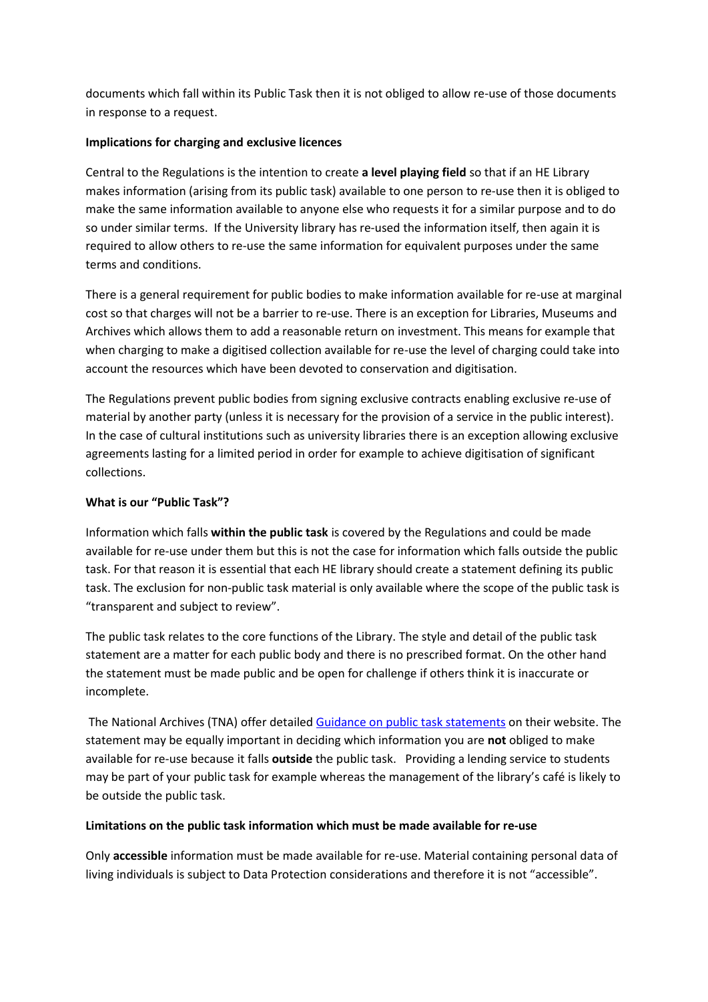documents which fall within its Public Task then it is not obliged to allow re-use of those documents in response to a request.

### **Implications for charging and exclusive licences**

Central to the Regulations is the intention to create **a level playing field** so that if an HE Library makes information (arising from its public task) available to one person to re-use then it is obliged to make the same information available to anyone else who requests it for a similar purpose and to do so under similar terms. If the University library has re-used the information itself, then again it is required to allow others to re-use the same information for equivalent purposes under the same terms and conditions.

There is a general requirement for public bodies to make information available for re-use at marginal cost so that charges will not be a barrier to re-use. There is an exception for Libraries, Museums and Archives which allows them to add a reasonable return on investment. This means for example that when charging to make a digitised collection available for re-use the level of charging could take into account the resources which have been devoted to conservation and digitisation.

The Regulations prevent public bodies from signing exclusive contracts enabling exclusive re-use of material by another party (unless it is necessary for the provision of a service in the public interest). In the case of cultural institutions such as university libraries there is an exception allowing exclusive agreements lasting for a limited period in order for example to achieve digitisation of significant collections.

### **What is our "Public Task"?**

Information which falls **within the public task** is covered by the Regulations and could be made available for re-use under them but this is not the case for information which falls outside the public task. For that reason it is essential that each HE library should create a statement defining its public task. The exclusion for non-public task material is only available where the scope of the public task is "transparent and subject to review".

The public task relates to the core functions of the Library. The style and detail of the public task statement are a matter for each public body and there is no prescribed format. On the other hand the statement must be made public and be open for challenge if others think it is inaccurate or incomplete.

The National Archives (TNA) offer detaile[d Guidance on public task statements](http://www.nationalarchives.gov.uk/information-management/re-using-public-sector-information/about-psi/public-task/) on their website. The statement may be equally important in deciding which information you are **not** obliged to make available for re-use because it falls **outside** the public task. Providing a lending service to students may be part of your public task for example whereas the management of the library's café is likely to be outside the public task.

### **Limitations on the public task information which must be made available for re-use**

Only **accessible** information must be made available for re-use. Material containing personal data of living individuals is subject to Data Protection considerations and therefore it is not "accessible".